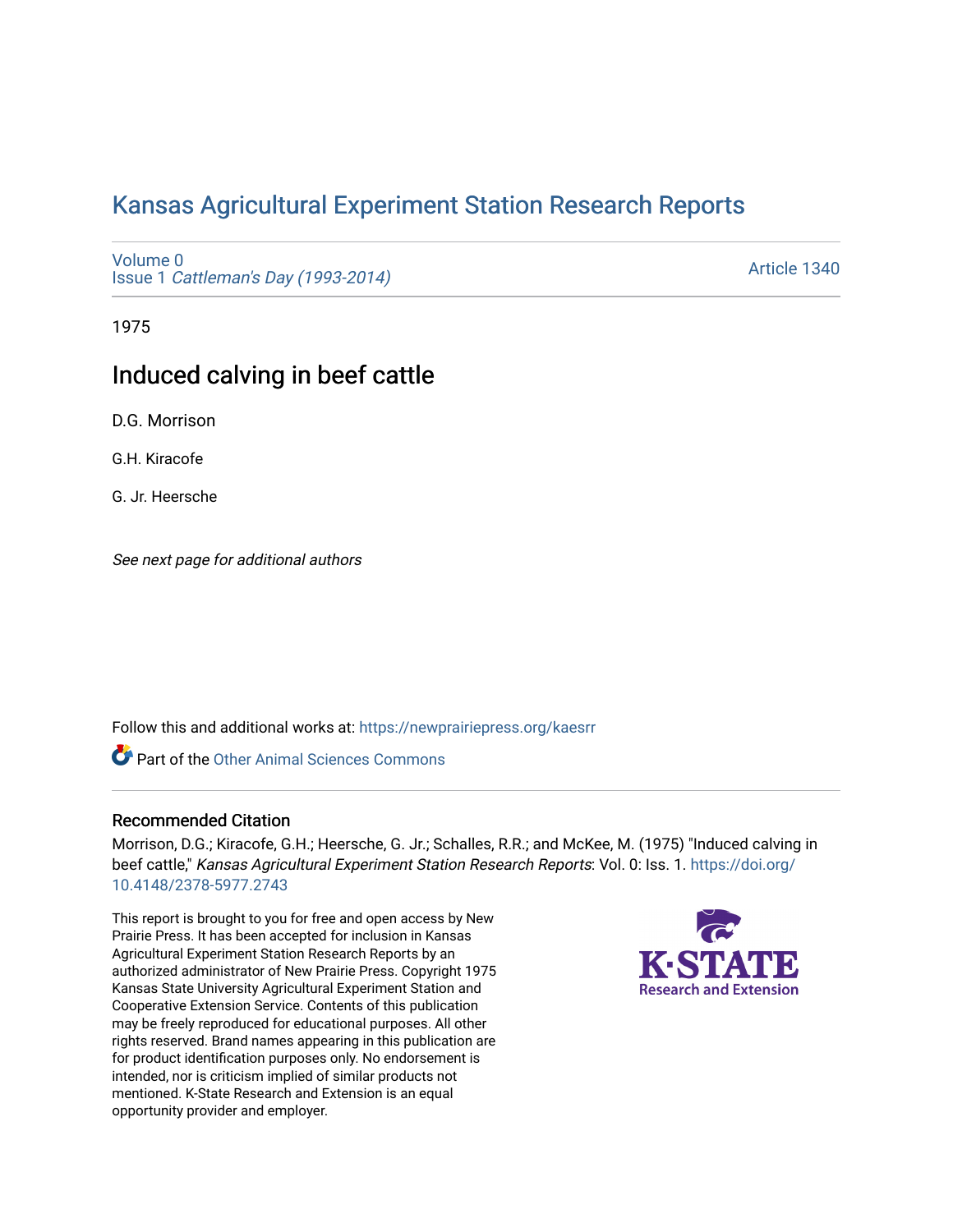# [Kansas Agricultural Experiment Station Research Reports](https://newprairiepress.org/kaesrr)

[Volume 0](https://newprairiepress.org/kaesrr/vol0) Issue 1 [Cattleman's Day \(1993-2014\)](https://newprairiepress.org/kaesrr/vol0/iss1) 

[Article 1340](https://newprairiepress.org/kaesrr/vol0/iss1/1340) 

1975

## Induced calving in beef cattle

D.G. Morrison

G.H. Kiracofe

G. Jr. Heersche

See next page for additional authors

Follow this and additional works at: [https://newprairiepress.org/kaesrr](https://newprairiepress.org/kaesrr?utm_source=newprairiepress.org%2Fkaesrr%2Fvol0%2Fiss1%2F1340&utm_medium=PDF&utm_campaign=PDFCoverPages) 

**Part of the [Other Animal Sciences Commons](http://network.bepress.com/hgg/discipline/82?utm_source=newprairiepress.org%2Fkaesrr%2Fvol0%2Fiss1%2F1340&utm_medium=PDF&utm_campaign=PDFCoverPages)** 

#### Recommended Citation

Morrison, D.G.; Kiracofe, G.H.; Heersche, G. Jr.; Schalles, R.R.; and McKee, M. (1975) "Induced calving in beef cattle," Kansas Agricultural Experiment Station Research Reports: Vol. 0: Iss. 1. [https://doi.org/](https://doi.org/10.4148/2378-5977.2743) [10.4148/2378-5977.2743](https://doi.org/10.4148/2378-5977.2743)

This report is brought to you for free and open access by New Prairie Press. It has been accepted for inclusion in Kansas Agricultural Experiment Station Research Reports by an authorized administrator of New Prairie Press. Copyright 1975 Kansas State University Agricultural Experiment Station and Cooperative Extension Service. Contents of this publication may be freely reproduced for educational purposes. All other rights reserved. Brand names appearing in this publication are for product identification purposes only. No endorsement is intended, nor is criticism implied of similar products not mentioned. K-State Research and Extension is an equal opportunity provider and employer.

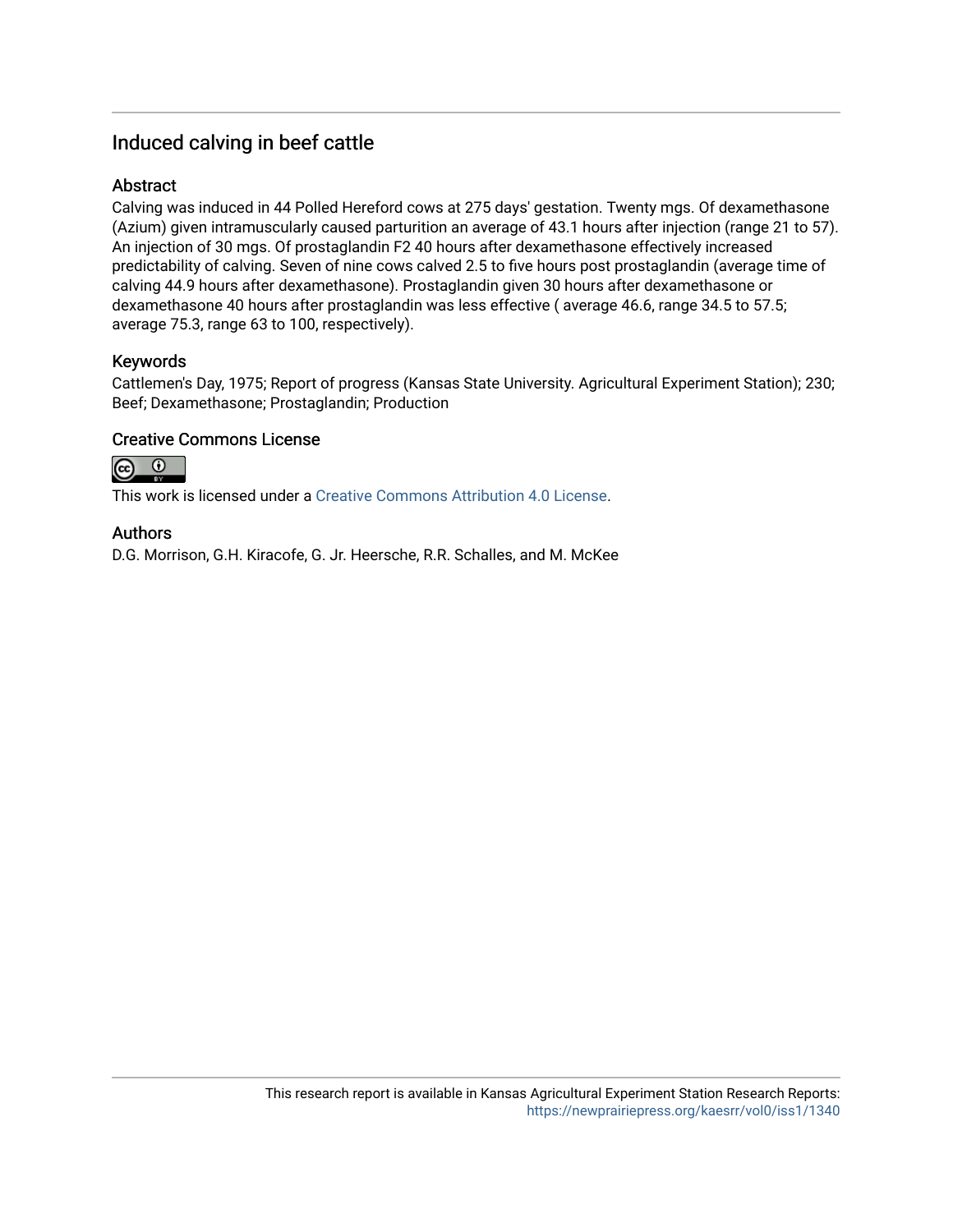## Induced calving in beef cattle

## Abstract

Calving was induced in 44 Polled Hereford cows at 275 days' gestation. Twenty mgs. Of dexamethasone (Azium) given intramuscularly caused parturition an average of 43.1 hours after injection (range 21 to 57). An injection of 30 mgs. Of prostaglandin F2 40 hours after dexamethasone effectively increased predictability of calving. Seven of nine cows calved 2.5 to five hours post prostaglandin (average time of calving 44.9 hours after dexamethasone). Prostaglandin given 30 hours after dexamethasone or dexamethasone 40 hours after prostaglandin was less effective ( average 46.6, range 34.5 to 57.5; average 75.3, range 63 to 100, respectively).

## Keywords

Cattlemen's Day, 1975; Report of progress (Kansas State University. Agricultural Experiment Station); 230; Beef; Dexamethasone; Prostaglandin; Production

## Creative Commons License



This work is licensed under a [Creative Commons Attribution 4.0 License](https://creativecommons.org/licenses/by/4.0/).

### Authors

D.G. Morrison, G.H. Kiracofe, G. Jr. Heersche, R.R. Schalles, and M. McKee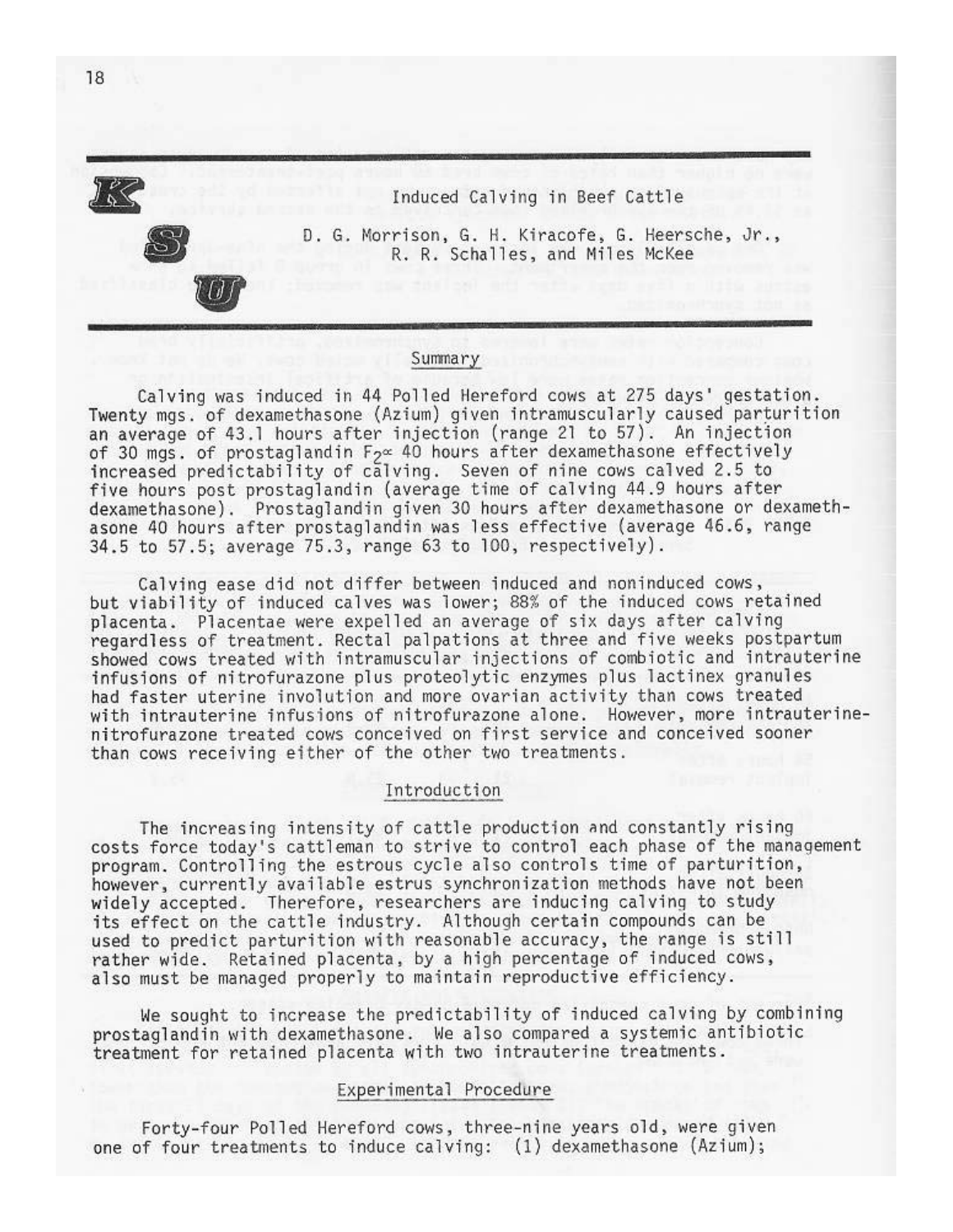

#### Summary

Calving was induced in 44 Polled Hereford cows at 275 days' gestation. Twenty mgs. of dexamethasone (Azium) given intramuscularly caused parturition an average of 43.1 hours after injection (range 21 to 57). An injection of 30 mgs. of prostaglandin  $F_2 \propto 40$  hours after dexamethasone effectively increased predictability of calving. Seven of nine cows calved 2.5 to five hours post prostaglandin (average time of calving 44.9 hours after dexamethasone). Prostaglandin given 30 hours after dexamethasone or dexamethasone 40 hours after prostaglandin was less effective (average 46.6, range 34.5 to 57.5; average 75.3, range 63 to 100, respectively).

Calving ease did not differ between induced and noninduced cows, but viability of induced calves was lower; 88% of the induced cows retained placenta. Placentae were expelled an average of six days after calving regardless of treatment. Rectal palpations at three and five weeks postpartum showed cows treated with intramuscular injections of combiotic and intrauterine infusions of nitrofurazone plus proteolytic enzymes plus lactinex granules had faster uterine involution and more ovarian activity than cows treated with intrauterine infusions of nitrofurazone alone. However, more intrauterinenitrofurazone treated cows conceived on first service and conceived sooner than cows receiving either of the other two treatments.

#### Introduction

The increasing intensity of cattle production and constantly rising costs force today's cattleman to strive to control each phase of the management program. Controlling the estrous cycle also controls time of parturition, however, currently available estrus synchronization methods have not been widely accepted. Therefore, researchers are inducing calving to study its effect on the cattle industry. Although certain compounds can be used to predict parturition with reasonable accuracy, the range is still rather wide. Retained placenta, by a high percentage of induced cows, also must be managed properly to maintain reproductive efficiency.

We sought to increase the predictability of induced calving by combining prostaglandin with dexamethasone. We also compared a systemic antibiotic treatment for retained placenta with two intrauterine treatments.

#### Experimental Procedure

Forty-four Polled Hereford cows, three-nine years old, were given one of four treatments to induce calving: (1) dexamethasone (Azium);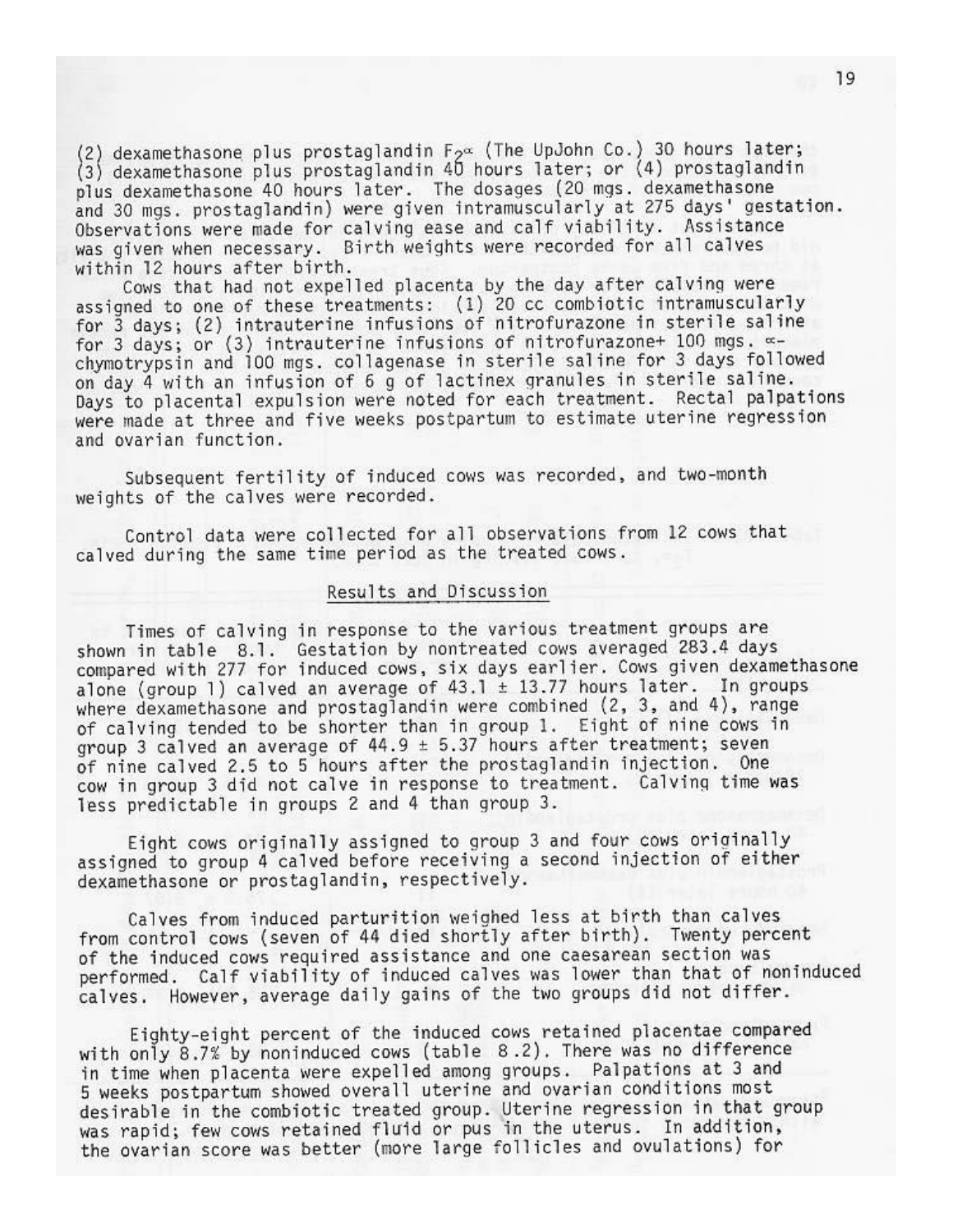(2) dexamethasone plus prostaglandin  $F_{2}$  (The UpJohn Co.) 30 hours later; (3) dexamethasone plus prostaglandin 40 hours later; or (4) prostaglandin plus dexamethasone 40 hours later. The dosages (20 mgs. dexamethasone and 30 mgs. prostaglandin) were given intramuscularly at 275 days' gestation. Observations were made for calving ease and calf viability. Assistance was given when necessary. Birth weights were recorded for all calves within 12 hours after birth.

Cows that had not expelled placenta by the day after calving were assigned to one of these treatments: (1) 20 cc combiotic intramuscularly for 3 days; (2) intrauterine infusions of nitrofurazone in sterile saline for 3 days; or (3) intrauterine infusions of nitrofurazone+ 100 mgs.  $\infty$ chymotrypsin and 100 mgs. collagenase in sterile saline for 3 days followed on day 4 with an infusion of 6 g of lactinex granules in sterile saline. Days to placental expulsion were noted for each treatment. Rectal palpations were made at three and five weeks postpartum to estimate uterine regression and ovarian function.

Subsequent fertility of induced cows was recorded, and two-month weights of the calves were recorded.

Control data were collected for all observations from 12 cows that calved during the same time period as the treated cows.

#### Results and Discussion

Times of calving in response to the various treatment groups are shown in table 8.1. Gestation by nontreated cows averaged 283.4 days compared with 277 for induced cows, six days earlier. Cows given dexamethasone alone (group 1) calved an average of  $43.1 \pm 13.77$  hours later. In groups where dexamethasone and prostaglandin were combined (2, 3, and 4), range of calving tended to be shorter than in group 1. Eight of nine cows in group 3 calved an average of  $44.9 \pm 5.37$  hours after treatment; seven of nine calved 2.5 to 5 hours after the prostaglandin injection. One cow in group 3 did not calve in response to treatment. Calving time was less predictable in groups 2 and 4 than group 3.

Eight cows originally assigned to group 3 and four cows originally assigned to group 4 calved before receiving a second injection of either dexamethasone or prostaglandin, respectively.

Calves from induced parturition weighed less at birth than calves from control cows (seven of 44 died shortly after birth). Twenty percent of the induced cows required assistance and one caesarean section was performed. Calf viability of induced calves was lower than that of noninduced calves. However, average daily gains of the two groups did not differ.

Eighty-eight percent of the induced cows retained placentae compared with only 8.7% by noninduced cows (table 8.2). There was no difference in time when placenta were expelled among groups. Palpations at 3 and 5 weeks postpartum showed overall uterine and ovarian conditions most desirable in the combiotic treated group. Uterine regression in that group was rapid; few cows retained fluid or pus in the uterus. In addition, the ovarian score was better (more large follicles and ovulations) for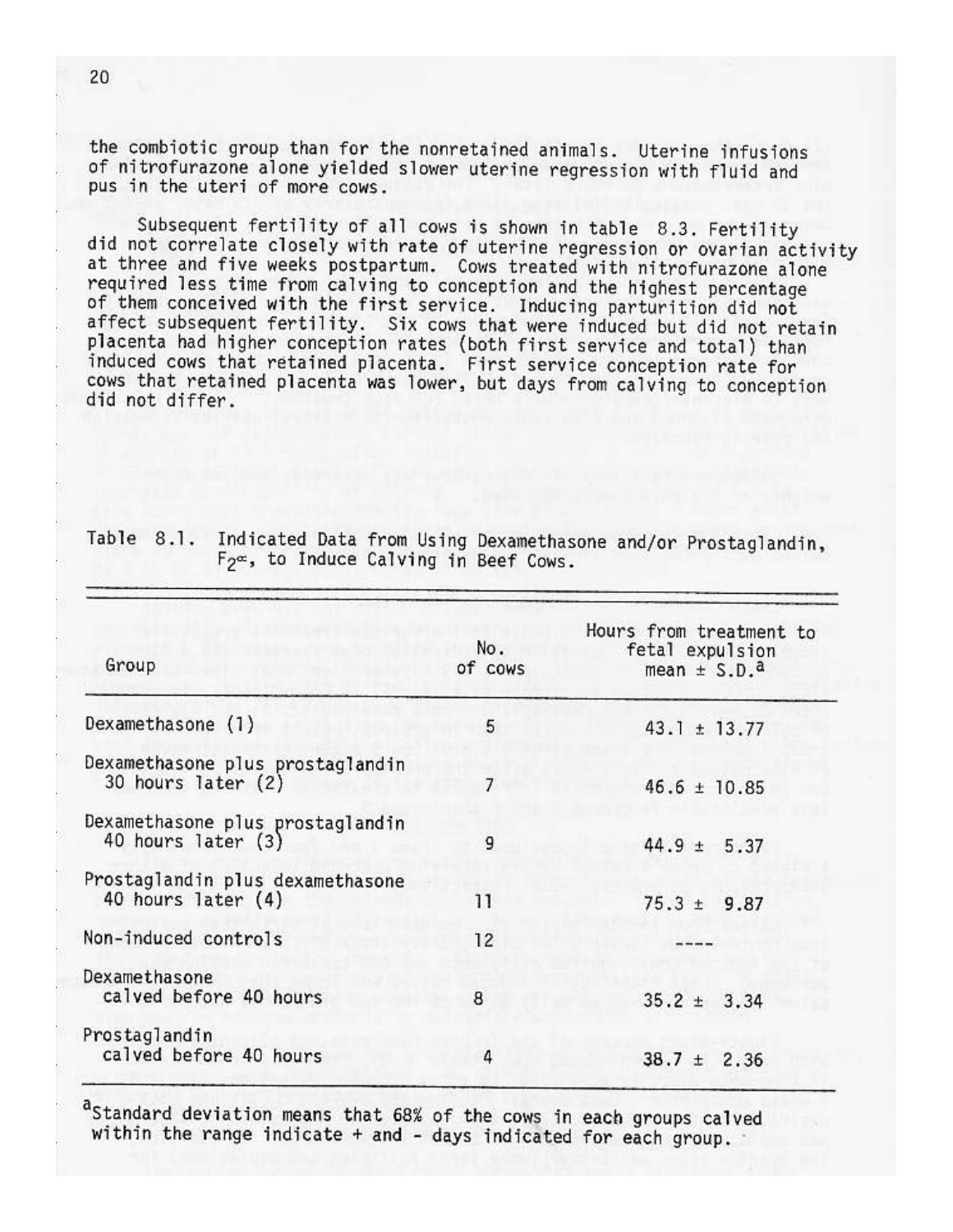the combiotic group than for the nonretained animals. Uterine infusions of nitrofurazone alone yielded slower uterine regression with fluid and pus in the uteri of more cows.

Subsequent fertility of all cows is shown in table 8.3. Fertility did not correlate closely with rate of uterine regression or ovarian activity at three and five weeks postpartum. Cows treated with nitrofurazone alone required less time from calving to conception and the highest percentage<br>of them conceived with the first service. Inducing parturition did not affect subsequent fertility. Six cows that were induced but did not retain placenta had higher conception rates (both first service and total) than induced cows that retained placenta. First service conception rate for cows that retained placenta was lower, but days from calving to conception did not differ.

| Group                                                  | No.<br>of cows | Hours from treatment to<br>fetal expulsion<br>mean $\pm$ S.D. <sup>a</sup> |
|--------------------------------------------------------|----------------|----------------------------------------------------------------------------|
| Dexamethasone (1)                                      | 5              | $43.1 \pm 13.77$                                                           |
| Dexamethasone plus prostaglandin<br>30 hours later (2) | $\overline{7}$ | $46.6 \pm 10.85$                                                           |
| Dexamethasone plus prostaglandin<br>40 hours later (3) | 9              | $44.9 \pm 5.37$                                                            |
| Prostaglandin plus dexamethasone<br>40 hours later (4) | 11             | $75.3 \pm 9.87$                                                            |
| Non-induced controls                                   | 12             |                                                                            |
| Dexamethasone<br>calved before 40 hours                | 8              | $35.2 \pm 3.34$                                                            |
| Prostaglandin<br>calved before 40 hours                | 4              | $38.7 \pm 2.36$                                                            |

Table 8.1. Indicated Data from Using Dexamethasone and/or Prostaglandin,  $F_2$ , to Induce Calving in Beef Cows.

aStandard deviation means that 68% of the cows in each groups calved within the range indicate + and - days indicated for each group.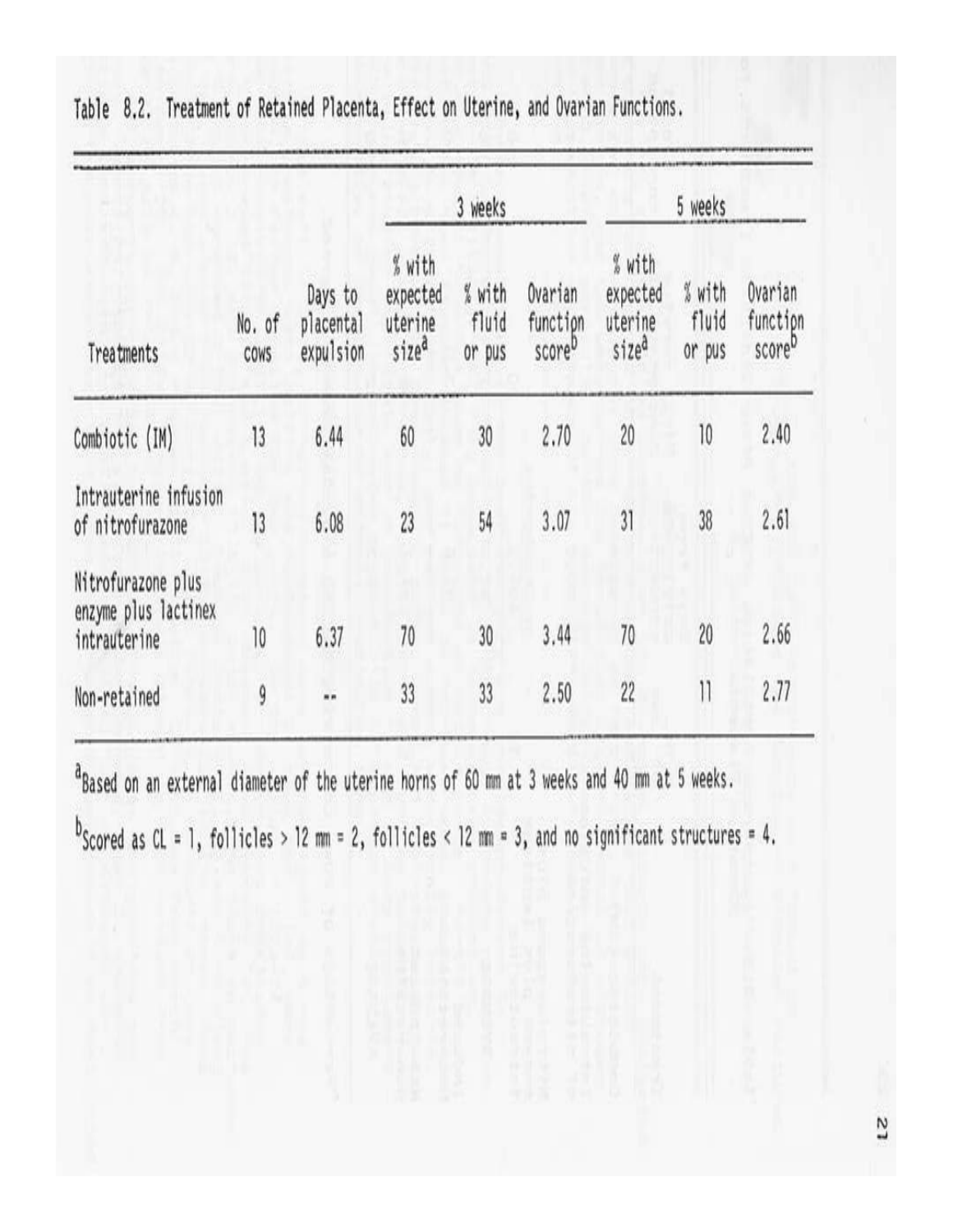| Treatments                                                 | No. of<br>COWS | Days to<br>placental<br>expulsion | 3 weeks                                            |                           |                                           | 5 weeks                                            |                           |                                           |
|------------------------------------------------------------|----------------|-----------------------------------|----------------------------------------------------|---------------------------|-------------------------------------------|----------------------------------------------------|---------------------------|-------------------------------------------|
|                                                            |                |                                   | % with<br>expected<br>uterine<br>size <sup>a</sup> | % with<br>fluid<br>or pus | Ovarian<br>function<br>score <sup>D</sup> | % with<br>expected<br>uterine<br>size <sup>a</sup> | % with<br>fluid<br>or pus | Ovarian<br>function<br>score <sup>D</sup> |
| Combiotic (IM)                                             | 13             | 6.44                              | 60                                                 | 30                        | 2.70                                      | 20                                                 | 10                        | 2.40                                      |
| Intrauterine infusion<br>of nitrofurazone                  | 13             | 6.08                              | 23                                                 | 54                        | 3.07                                      | $\overline{31}$                                    | 38                        | 2.61                                      |
| Nitrofurazone plus<br>enzyme plus lactinex<br>intrauterine | 10             | 6.37                              | 70                                                 | 30                        | 3.44                                      | 70                                                 | 20                        | 2.66                                      |
| Non-retained                                               | 9              |                                   | 33                                                 | 33                        | 2.50                                      | 22                                                 | $\overline{\mathcal{V}}$  | 2.77                                      |
|                                                            |                |                                   |                                                    |                           |                                           |                                                    |                           |                                           |

Table 8.2. Treatment of Retained Placenta, Effect on Uterine, and Ovarian Functions.

<sup>a</sup>Based on an external diameter of the uterine horns of 60 mm at 3 weeks and 40 mm at 5 weeks.

 $b$ Scored as CL = 1, follicles > 12 mm = 2, follicles < 12 mm = 3, and no significant structures = 4.